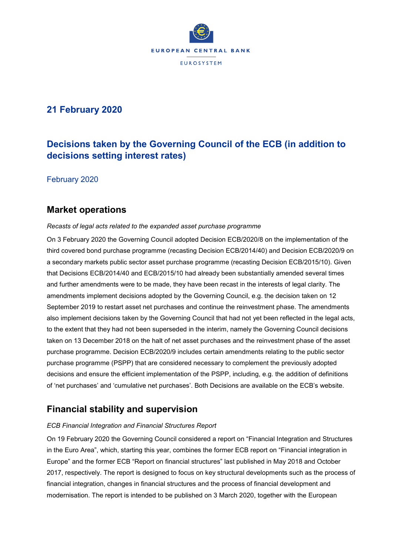

## **21 February 2020**

# **Decisions taken by the Governing Council of the ECB (in addition to decisions setting interest rates)**

February 2020

## **Market operations**

### *Recasts of legal acts related to the expanded asset purchase programme*

On 3 February 2020 the Governing Council adopted Decision ECB/2020/8 on the implementation of the third covered bond purchase programme (recasting Decision ECB/2014/40) and Decision ECB/2020/9 on a secondary markets public sector asset purchase programme (recasting Decision ECB/2015/10). Given that Decisions ECB/2014/40 and ECB/2015/10 had already been substantially amended several times and further amendments were to be made, they have been recast in the interests of legal clarity. The amendments implement decisions adopted by the Governing Council, e.g. the decision taken on 12 September 2019 to restart asset net purchases and continue the reinvestment phase. The amendments also implement decisions taken by the Governing Council that had not yet been reflected in the legal acts, to the extent that they had not been superseded in the interim, namely the Governing Council decisions taken on 13 December 2018 on the halt of net asset purchases and the reinvestment phase of the asset purchase programme. Decision ECB/2020/9 includes certain amendments relating to the public sector purchase programme (PSPP) that are considered necessary to complement the previously adopted decisions and ensure the efficient implementation of the PSPP, including, e.g. the addition of definitions of 'net purchases' and 'cumulative net purchases'. Both Decisions are available on the ECB's website.

## **Financial stability and supervision**

### *ECB Financial Integration and Financial Structures Report*

On 19 February 2020 the Governing Council considered a report on "Financial Integration and Structures in the Euro Area", which, starting this year, combines the former ECB report on "Financial integration in Europe" and the former ECB "Report on financial structures" last published in May 2018 and October 2017, respectively. The report is designed to focus on key structural developments such as the process of financial integration, changes in financial structures and the process of financial development and modernisation. The report is intended to be published on 3 March 2020, together with the European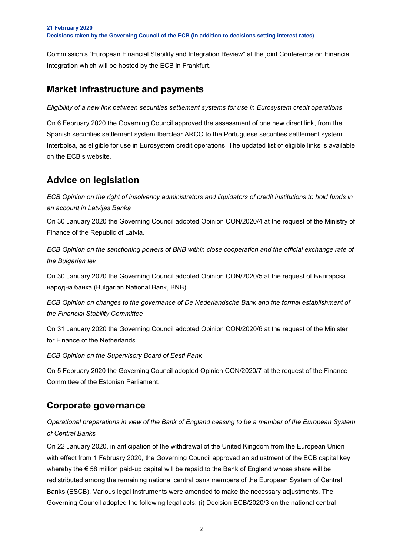Commission's "European Financial Stability and Integration Review" at the joint Conference on Financial Integration which will be hosted by the ECB in Frankfurt.

## **Market infrastructure and payments**

*Eligibility of a new link between securities settlement systems for use in Eurosystem credit operations*

On 6 February 2020 the Governing Council approved the assessment of one new direct link, from the Spanish securities settlement system Iberclear ARCO to the Portuguese securities settlement system Interbolsa, as eligible for use in Eurosystem credit operations. The updated list of eligible links is available on the ECB's website.

# **Advice on legislation**

*ECB Opinion on the right of insolvency administrators and liquidators of credit institutions to hold funds in an account in Latvijas Banka*

On 30 January 2020 the Governing Council adopted Opinion CON/2020/4 at the request of the Ministry of Finance of the Republic of Latvia.

*ECB Opinion on the sanctioning powers of BNB within close cooperation and the official exchange rate of the Bulgarian lev*

On 30 January 2020 the Governing Council adopted Opinion CON/2020/5 at the request of Българска народна банка (Bulgarian National Bank, BNB).

*ECB Opinion on changes to the governance of De Nederlandsche Bank and the formal establishment of the Financial Stability Committee*

On 31 January 2020 the Governing Council adopted Opinion CON/2020/6 at the request of the Minister for Finance of the Netherlands.

*ECB Opinion on the Supervisory Board of Eesti Pank*

On 5 February 2020 the Governing Council adopted Opinion CON/2020/7 at the request of the Finance Committee of the Estonian Parliament.

## **Corporate governance**

*Operational preparations in view of the Bank of England ceasing to be a member of the European System of Central Banks*

On 22 January 2020, in anticipation of the withdrawal of the United Kingdom from the European Union with effect from 1 February 2020, the Governing Council approved an adjustment of the ECB capital key whereby the € 58 million paid-up capital will be repaid to the Bank of England whose share will be redistributed among the remaining national central bank members of the European System of Central Banks (ESCB). Various legal instruments were amended to make the necessary adjustments. The Governing Council adopted the following legal acts: (i) Decision ECB/2020/3 on the national central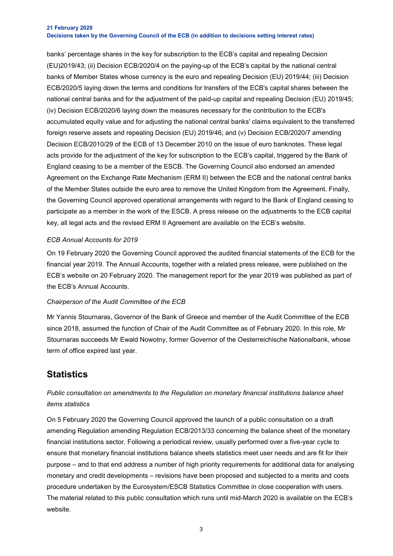#### **21 February 2020 Decisions taken by the Governing Council of the ECB (in addition to decisions setting interest rates)**

banks' percentage shares in the key for subscription to the ECB's capital and repealing Decision (EU)2019/43; (ii) Decision ECB/2020/4 on the paying-up of the ECB's capital by the national central banks of Member States whose currency is the euro and repealing Decision (EU) 2019/44; (iii) Decision ECB/2020/5 laying down the terms and conditions for transfers of the ECB's capital shares between the national central banks and for the adjustment of the paid-up capital and repealing Decision (EU) 2019/45; (iv) Decision ECB/2020/6 laying down the measures necessary for the contribution to the ECB's accumulated equity value and for adjusting the national central banks' claims equivalent to the transferred foreign reserve assets and repealing Decision (EU) 2019/46; and (v) Decision ECB/2020/7 amending Decision ECB/2010/29 of the ECB of 13 December 2010 on the issue of euro banknotes. These legal acts provide for the adjustment of the key for subscription to the ECB's capital, triggered by the Bank of England ceasing to be a member of the ESCB. The Governing Council also endorsed an amended Agreement on the Exchange Rate Mechanism (ERM II) between the ECB and the national central banks of the Member States outside the euro area to remove the United Kingdom from the Agreement. Finally, the Governing Council approved operational arrangements with regard to the Bank of England ceasing to participate as a member in the work of the ESCB. A press release on the adjustments to the ECB capital key, all legal acts and the revised ERM II Agreement are available on the ECB's website.

### *ECB Annual Accounts for 2019*

On 19 February 2020 the Governing Council approved the audited financial statements of the ECB for the financial year 2019. The Annual Accounts, together with a related press release, were published on the ECB's website on 20 February 2020. The management report for the year 2019 was published as part of the ECB's Annual Accounts.

### *Chairperson of the Audit Committee of the ECB*

Mr Yannis Stournaras, Governor of the Bank of Greece and member of the Audit Committee of the ECB since 2018, assumed the function of Chair of the Audit Committee as of February 2020. In this role, Mr Stournaras succeeds Mr Ewald Nowotny, former Governor of the Oesterreichische Nationalbank, whose term of office expired last year.

## **Statistics**

### *Public consultation on amendments to the Regulation on monetary financial institutions balance sheet items statistics*

On 5 February 2020 the Governing Council approved the launch of a public consultation on a draft amending Regulation amending Regulation ECB/2013/33 concerning the balance sheet of the monetary financial institutions sector. Following a periodical review, usually performed over a five-year cycle to ensure that monetary financial institutions balance sheets statistics meet user needs and are fit for their purpose – and to that end address a number of high priority requirements for additional data for analysing monetary and credit developments – revisions have been proposed and subjected to a merits and costs procedure undertaken by the Eurosystem/ESCB Statistics Committee in close cooperation with users. The material related to this public consultation which runs until mid-March 2020 is available on the ECB's website.

3